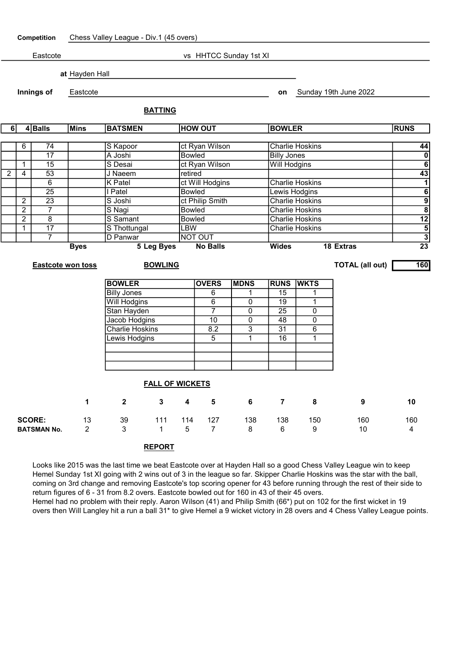

## REPORT

Looks like 2015 was the last time we beat Eastcote over at Hayden Hall so a good Chess Valley League win to keep Hemel Sunday 1st XI going with 2 wins out of 3 in the league so far. Skipper Charlie Hoskins was the star with the ball, coming on 3rd change and removing Eastcote's top scoring opener for 43 before running through the rest of their side to return figures of 6 - 31 from 8.2 overs. Eastcote bowled out for 160 in 43 of their 45 overs.

Hemel had no problem with their reply. Aaron Wilson (41) and Philip Smith (66\*) put on 102 for the first wicket in 19 overs then Will Langley hit a run a ball 31\* to give Hemel a 9 wicket victory in 28 overs and 4 Chess Valley League points.